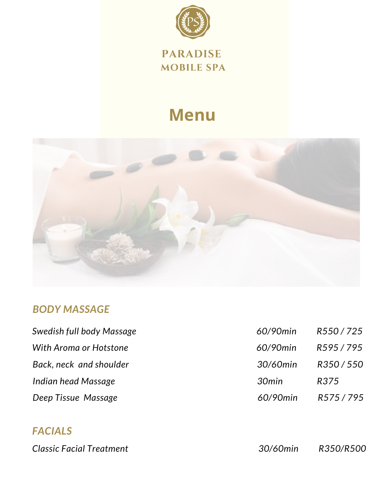

#### **PARADISE MOBILE SPA**

# **Menu**



### *BODY MASSAGE*

| Swedish full body Massage | 60/90min | R550/725 |
|---------------------------|----------|----------|
| With Aroma or Hotstone    | 60/90min | R595/795 |
| Back, neck and shoulder   | 30/60min | R350/550 |
| Indian head Massage       | 30min    | R375     |
| Deep Tissue Massage       | 60/90min | R575/795 |

# *FACIALS*

*Classic Facial Treatment 30/60min R350/R500*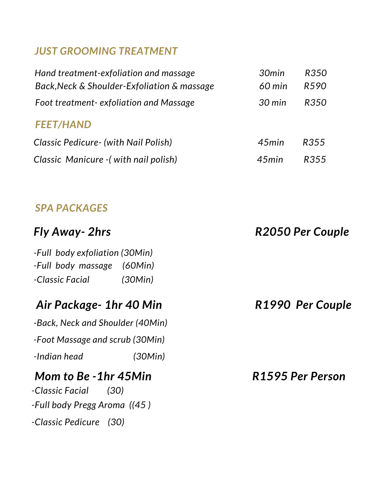### *JUST GROOMING TREATMENT*

| Hand treatment-exfoliation and massage      | 30min            | R350 |
|---------------------------------------------|------------------|------|
| Back, Neck & Shoulder-Exfoliation & massage | $60$ min         | R590 |
| Foot treatment-exfoliation and Massage      | $30 \text{ min}$ | R350 |
| <b>FEET/HAND</b>                            |                  |      |
| Classic Pedicure - (with Nail Polish)       | 45min            | R355 |
| Classic Manicure - (with nail polish)       | 45min            | R355 |

#### *SPA PACKAGES*

| Fly Away- 2hrs                   | R2050 Per Couple |
|----------------------------------|------------------|
| -Full body exfoliation (30Min)   |                  |
| -Full body massage<br>(60Min)    |                  |
| (30Min)<br>-Classic Facial       |                  |
| Air Package- 1hr 40 Min          | R1990 Per Couple |
| -Back, Neck and Shoulder (40Min) |                  |
| -Foot Massage and scrub (30Min)  |                  |
| -Indian head<br>(30Min)          |                  |
| Mom to Be -1hr 45Min             | R1595 Per Person |
| -Classic Facial<br>(30)          |                  |
| -Full body Pregg Aroma ((45)     |                  |
| -Classic Pedicure (30)           |                  |
|                                  |                  |